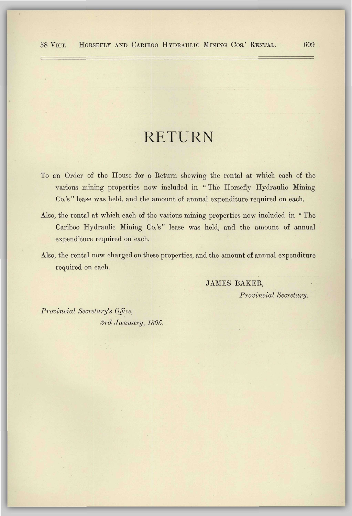# RETURN

- To an Order of the House for a Return shewing the rental at which each of the various mining properties now included in " The Horsefly Hydraulic Mining Co.'s " lease was held, and the amount of annual expenditure required on each.
- Also, the rental at which each of the various mining properties now included in " The Cariboo Hydraulic Mining Co.'s" lease was held, and the amount of annual expenditure required on each.
- Also, the rental now charged on these properties, and the amount of annual expenditure required on each.

JAMES BAKER, *Provincial Secretary.* 

*Provincial Secretary's Office, 3rd January, 1895.*